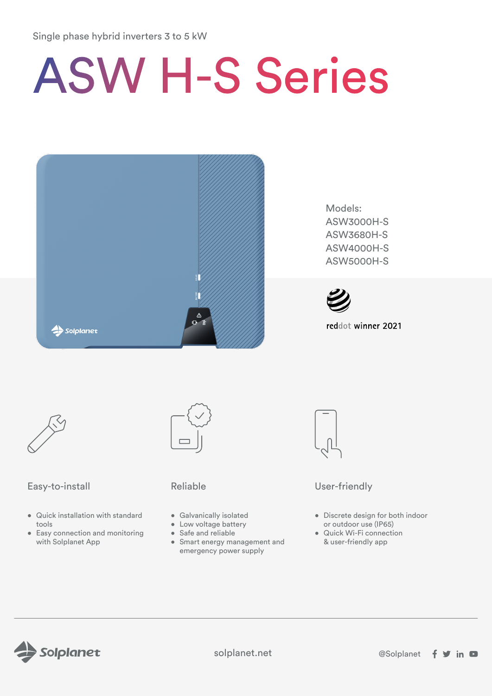# Single phase hybrid inverters 3 to 5 kW

# ASW H-S Series



Models: ASW3000H-S ASW3680H-S ASW4000H-S ASW5000H-S



reddot winner 2021



# Easy-to-install Reliable Reliable User-friendly

- Quick installation with standard tools
- Easy connection and monitoring with Solplanet App



- Galvanically isolated
- Low voltage battery
- Safe and reliable
- Smart energy management and emergency power supply



- Discrete design for both indoor or outdoor use (IP65)
- Quick Wi-Fi connection & user-friendly app